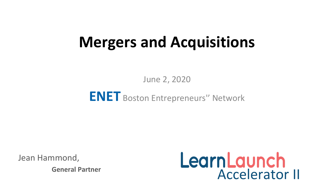# **Mergers and Acquisitions**

June 2, 2020

#### **ENET** Boston Entrepreneurs'' Network

Jean Hammond,

**General Partner** 

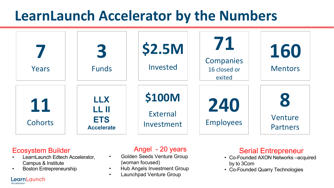## **LearnLaunch Accelerator by the Numbers**



#### Ecosystem Builder

- LearnLaunch Edtech Accelerator, Campus & Institute
- Boston Entrepreneurship

LearnLaunch

Accelerator

#### Angel - 20 years

- Golden Seeds Venture Group (woman focused)
- Hub Angels Investment Group
- Launchpad Venture Group

- Serial Entrepreneur<br>Co-Founded AXON Networks –acquired by to 3Com
- Co-Founded Quarry Technologies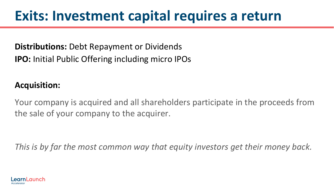## **Exits: Investment capital requires a return**

#### **Distributions:** Debt Repayment or Dividends **IPO:** Initial Public Offering including micro IPOs

#### **Acquisition:**

Your company is acquired and all shareholders participate in the proceeds from the sale of your company to the acquirer.

*This is by far the most common way that equity investors get their money back.*

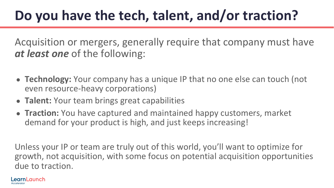# **Do you have the tech, talent, and/or traction?**

Acquisition or mergers, generally require that company must have *at least one* of the following:

- **Technology:** Your company has a unique IP that no one else can touch (not even resource-heavy corporations)
- **Talent:** Your team brings great capabilities
- **Traction:** You have captured and maintained happy customers, market demand for your product is high, and just keeps increasing!

Unless your IP or team are truly out of this world, you'll want to optimize for growth, not acquisition, with some focus on potential acquisition opportunities due to traction.

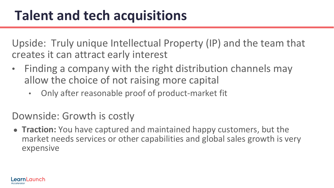## Talent and tech acquisitions

Upside: Truly unique Intellectual Property (IP) and the team that creates it can attract early interest

- Finding a company with the right distribution channels may allow the choice of not raising more capital
	- Only after reasonable proof of product-market fit

Downside: Growth is costly

● **Traction:** You have captured and maintained happy customers, but the market needs services or other capabilities and global sales growth is very expensive

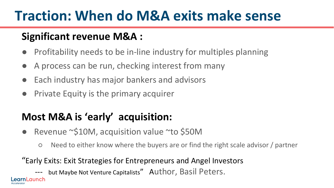# **Traction: When do M&A exits make sense**

#### **Significant revenue M&A :**

- Profitability needs to be in-line industry for multiples planning
- A process can be run, checking interest from many
- Each industry has major bankers and advisors
- **Private Equity is the primary acquirer**

#### **Most M&A is 'early' acquisition:**

- Revenue ~\$10M, acquisition value ~to \$50M
	- Need to either know where the buyers are or find the right scale advisor / partner

#### "Early Exits: Exit Strategies for Entrepreneurs and Angel Investors

but Maybe Not Venture Capitalists" Author, Basil Peters.

nl aunch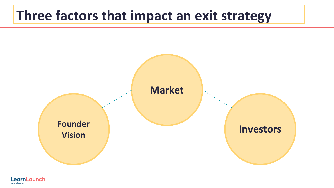#### **Three factors that impact an exit strategy**



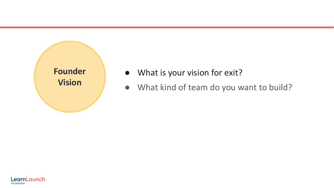

- What is your vision for exit?
- What kind of team do you want to build?

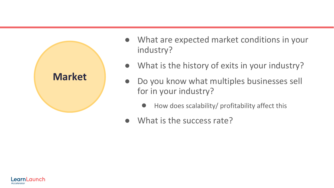

- What are expected market conditions in your industry?
- What is the history of exits in your industry?
- Do you know what multiples businesses sell for in your industry?
	- How does scalability/ profitability affect this
- What is the success rate?

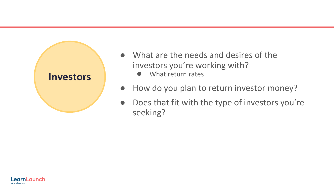

- What are the needs and desires of the investors you're working with?
	- What return rates
- How do you plan to return investor money?
- Does that fit with the type of investors you're seeking?

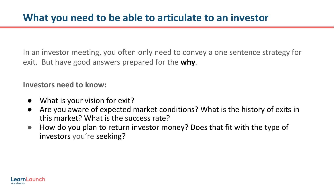In an investor meeting, you often only need to convey a one sentence strategy for exit. But have good answers prepared for the **why**.

**Investors need to know:**

- What is your vision for exit?
- Are you aware of expected market conditions? What is the history of exits in this market? What is the success rate?
- How do you plan to return investor money? Does that fit with the type of investors you're seeking?

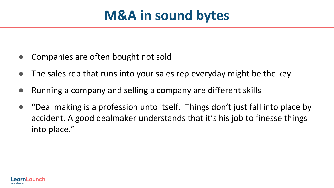## **M&A in sound bytes**

- Companies are often bought not sold
- The sales rep that runs into your sales rep everyday might be the key
- Running a company and selling a company are different skills
- "Deal making is a profession unto itself. Things don't just fall into place by accident. A good dealmaker understands that it's his job to finesse things into place."